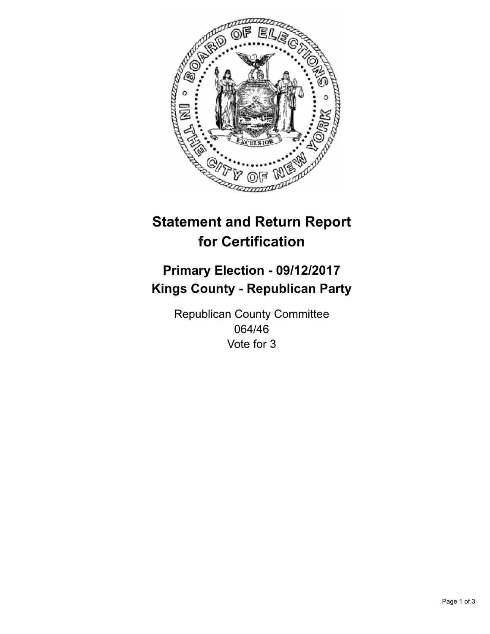

## **Statement and Return Report for Certification**

## **Primary Election - 09/12/2017 Kings County - Republican Party**

Republican County Committee 064/46 Vote for 3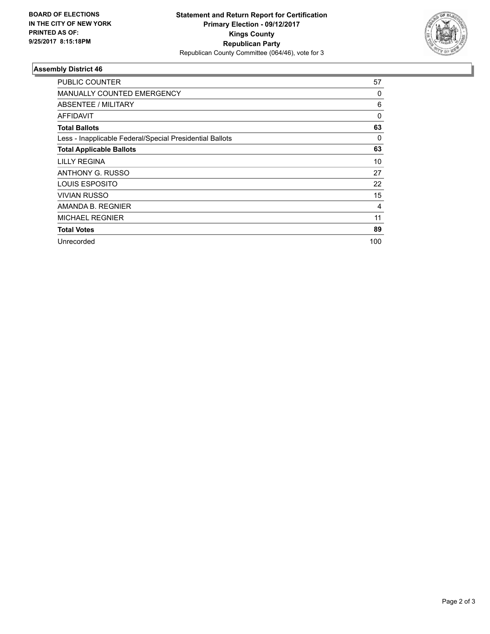

## **Assembly District 46**

| <b>PUBLIC COUNTER</b>                                    | 57       |
|----------------------------------------------------------|----------|
| <b>MANUALLY COUNTED EMERGENCY</b>                        | 0        |
| ABSENTEE / MILITARY                                      | 6        |
| AFFIDAVIT                                                | $\Omega$ |
| <b>Total Ballots</b>                                     | 63       |
| Less - Inapplicable Federal/Special Presidential Ballots | 0        |
| <b>Total Applicable Ballots</b>                          | 63       |
| LILLY REGINA                                             | 10       |
| ANTHONY G. RUSSO                                         | 27       |
| LOUIS ESPOSITO                                           | 22       |
| <b>VIVIAN RUSSO</b>                                      | 15       |
| AMANDA B. REGNIER                                        | 4        |
| <b>MICHAEL REGNIER</b>                                   | 11       |
| <b>Total Votes</b>                                       | 89       |
| Unrecorded                                               | 100      |